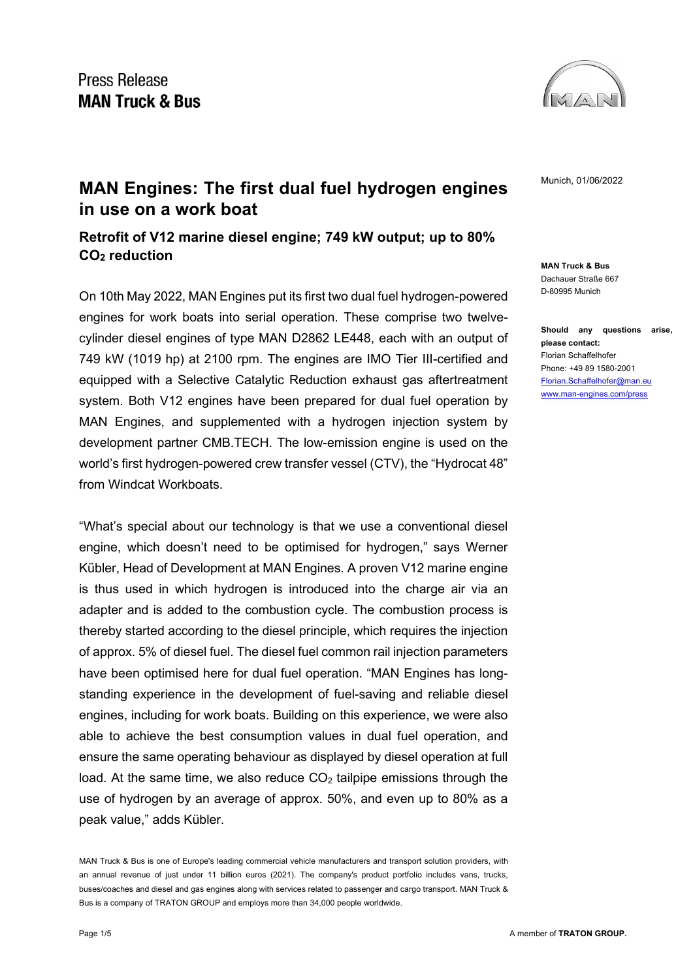

**MAN Truck & Bus** Dachauer Straße 667 D-80995 Munich

**Should any questions arise, please contact:** Florian Schaffelhofer Phone: +49 89 1580-2001 [Florian.Schaffelhofer@man.eu](mailto:Florian.Schaffelhofer@man.eu) [www.man-engines.com/press](http://www.man-engines.com/press)

# **MAN Engines: The first dual fuel hydrogen engines** Munich, 01/06/2022 **in use on a work boat**

**Retrofit of V12 marine diesel engine; 749 kW output; up to 80% CO2 reduction**

On 10th May 2022, MAN Engines put its first two dual fuel hydrogen-powered engines for work boats into serial operation. These comprise two twelvecylinder diesel engines of type MAN D2862 LE448, each with an output of 749 kW (1019 hp) at 2100 rpm. The engines are IMO Tier III-certified and equipped with a Selective Catalytic Reduction exhaust gas aftertreatment system. Both V12 engines have been prepared for dual fuel operation by MAN Engines, and supplemented with a hydrogen injection system by development partner CMB.TECH. The low-emission engine is used on the world's first hydrogen-powered crew transfer vessel (CTV), the "Hydrocat 48" from Windcat Workboats.

"What's special about our technology is that we use a conventional diesel engine, which doesn't need to be optimised for hydrogen," says Werner Kübler, Head of Development at MAN Engines. A proven V12 marine engine is thus used in which hydrogen is introduced into the charge air via an adapter and is added to the combustion cycle. The combustion process is thereby started according to the diesel principle, which requires the injection of approx. 5% of diesel fuel. The diesel fuel common rail injection parameters have been optimised here for dual fuel operation. "MAN Engines has longstanding experience in the development of fuel-saving and reliable diesel engines, including for work boats. Building on this experience, we were also able to achieve the best consumption values in dual fuel operation, and ensure the same operating behaviour as displayed by diesel operation at full load. At the same time, we also reduce  $CO<sub>2</sub>$  tailpipe emissions through the use of hydrogen by an average of approx. 50%, and even up to 80% as a peak value," adds Kübler.

MAN Truck & Bus is one of Europe's leading commercial vehicle manufacturers and transport solution providers, with an annual revenue of just under 11 billion euros (2021). The company's product portfolio includes vans, trucks, buses/coaches and diesel and gas engines along with services related to passenger and cargo transport. MAN Truck & Bus is a company of TRATON GROUP and employs more than 34,000 people worldwide.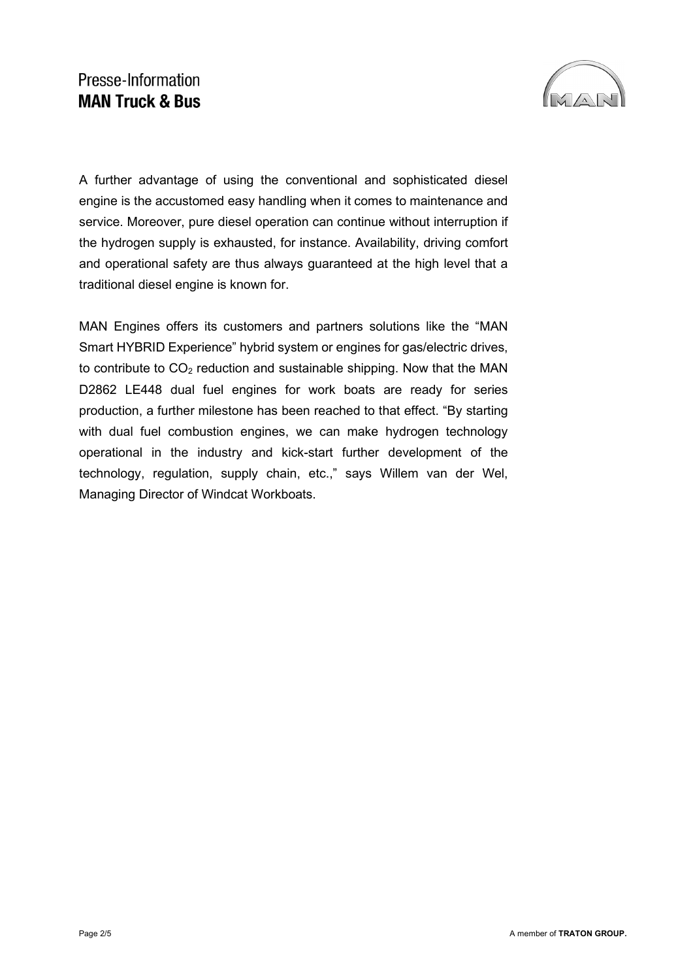## Presse-Information **MAN Truck & Bus**



A further advantage of using the conventional and sophisticated diesel engine is the accustomed easy handling when it comes to maintenance and service. Moreover, pure diesel operation can continue without interruption if the hydrogen supply is exhausted, for instance. Availability, driving comfort and operational safety are thus always guaranteed at the high level that a traditional diesel engine is known for.

MAN Engines offers its customers and partners solutions like the "MAN Smart HYBRID Experience" hybrid system or engines for gas/electric drives, to contribute to  $CO<sub>2</sub>$  reduction and sustainable shipping. Now that the MAN D2862 LE448 dual fuel engines for work boats are ready for series production, a further milestone has been reached to that effect. "By starting with dual fuel combustion engines, we can make hydrogen technology operational in the industry and kick-start further development of the technology, regulation, supply chain, etc.," says Willem van der Wel, Managing Director of Windcat Workboats.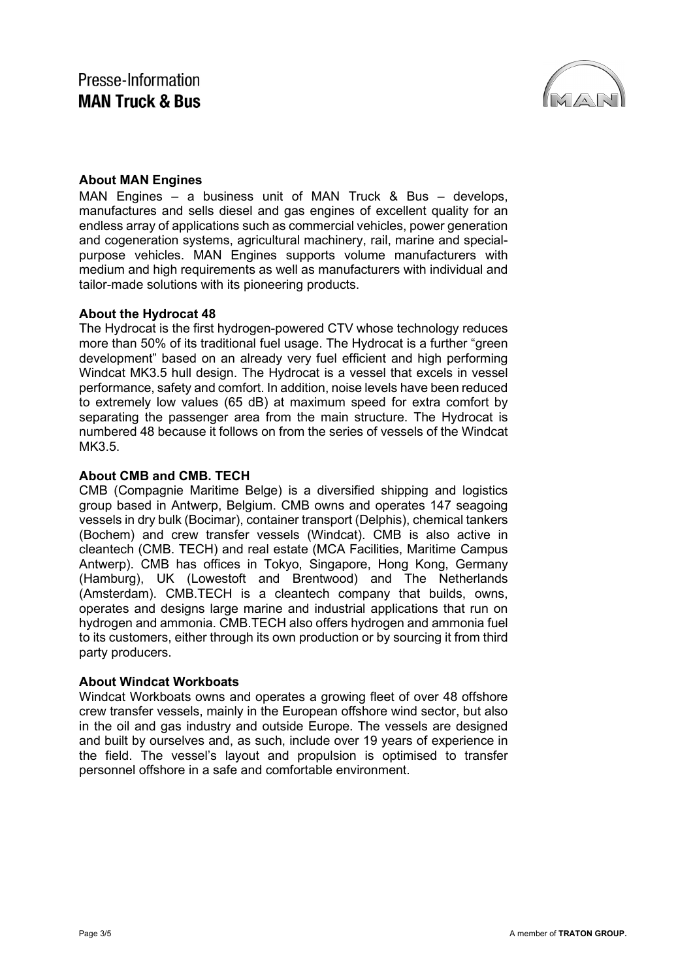

### **About MAN Engines**

MAN Engines – a business unit of MAN Truck & Bus – develops, manufactures and sells diesel and gas engines of excellent quality for an endless array of applications such as commercial vehicles, power generation and cogeneration systems, agricultural machinery, rail, marine and specialpurpose vehicles. MAN Engines supports volume manufacturers with medium and high requirements as well as manufacturers with individual and tailor-made solutions with its pioneering products.

#### **About the Hydrocat 48**

The Hydrocat is the first hydrogen-powered CTV whose technology reduces more than 50% of its traditional fuel usage. The Hydrocat is a further "green development" based on an already very fuel efficient and high performing Windcat MK3.5 hull design. The Hydrocat is a vessel that excels in vessel performance, safety and comfort. In addition, noise levels have been reduced to extremely low values (65 dB) at maximum speed for extra comfort by separating the passenger area from the main structure. The Hydrocat is numbered 48 because it follows on from the series of vessels of the Windcat MK3.5.

#### **About CMB and CMB. TECH**

CMB (Compagnie Maritime Belge) is a diversified shipping and logistics group based in Antwerp, Belgium. CMB owns and operates 147 seagoing vessels in dry bulk (Bocimar), container transport (Delphis), chemical tankers (Bochem) and crew transfer vessels (Windcat). CMB is also active in cleantech (CMB. TECH) and real estate (MCA Facilities, Maritime Campus Antwerp). CMB has offices in Tokyo, Singapore, Hong Kong, Germany (Hamburg), UK (Lowestoft and Brentwood) and The Netherlands (Amsterdam). CMB.TECH is a cleantech company that builds, owns, operates and designs large marine and industrial applications that run on hydrogen and ammonia. CMB.TECH also offers hydrogen and ammonia fuel to its customers, either through its own production or by sourcing it from third party producers.

#### **About Windcat Workboats**

Windcat Workboats owns and operates a growing fleet of over 48 offshore crew transfer vessels, mainly in the European offshore wind sector, but also in the oil and gas industry and outside Europe. The vessels are designed and built by ourselves and, as such, include over 19 years of experience in the field. The vessel's layout and propulsion is optimised to transfer personnel offshore in a safe and comfortable environment.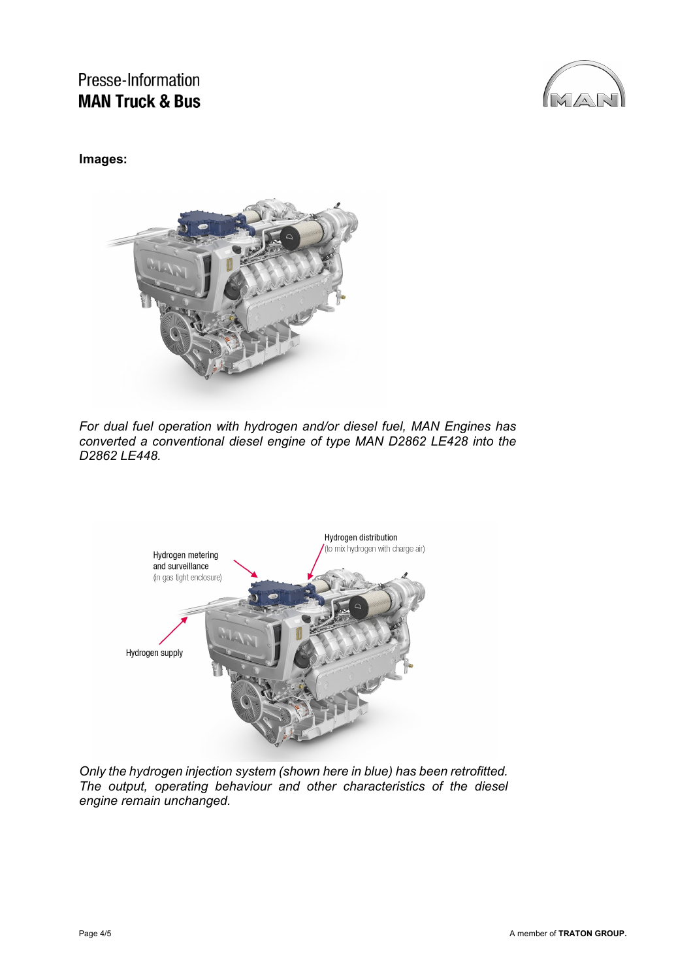Presse-Information **MAN Truck & Bus** 



#### **Images:**



*For dual fuel operation with hydrogen and/or diesel fuel, MAN Engines has converted a conventional diesel engine of type MAN D2862 LE428 into the D2862 LE448.*



*Only the hydrogen injection system (shown here in blue) has been retrofitted. The output, operating behaviour and other characteristics of the diesel engine remain unchanged.*